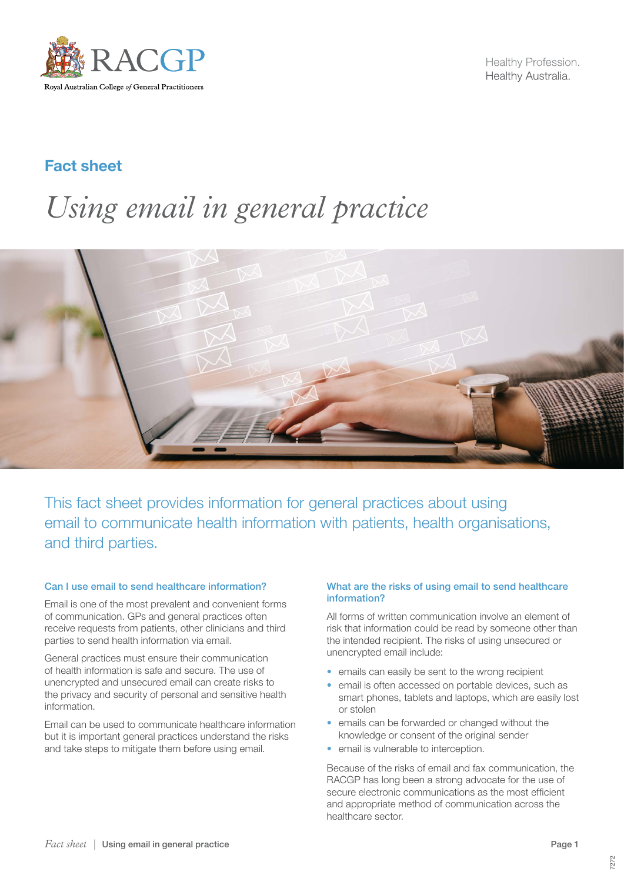

Healthy Profession. Healthy Australia.

## Fact sheet

# *Using email in general practice*



This fact sheet provides information for general practices about using email to communicate health information with patients, health organisations, and third parties.

#### Can I use email to send healthcare information?

Email is one of the most prevalent and convenient forms of communication. GPs and general practices often receive requests from patients, other clinicians and third parties to send health information via email.

General practices must ensure their communication of health information is safe and secure. The use of unencrypted and unsecured email can create risks to the privacy and security of personal and sensitive health information.

Email can be used to communicate healthcare information but it is important general practices understand the risks and take steps to mitigate them before using email.

#### What are the risks of using email to send healthcare information?

All forms of written communication involve an element of risk that information could be read by someone other than the intended recipient. The risks of using unsecured or unencrypted email include:

- emails can easily be sent to the wrong recipient
- email is often accessed on portable devices, such as smart phones, tablets and laptops, which are easily lost or stolen
- emails can be forwarded or changed without the knowledge or consent of the original sender
- email is vulnerable to interception.

Because of the risks of email and fax communication, the RACGP has long been a strong advocate for the use of secure electronic communications as the most efficient and appropriate method of communication across the healthcare sector.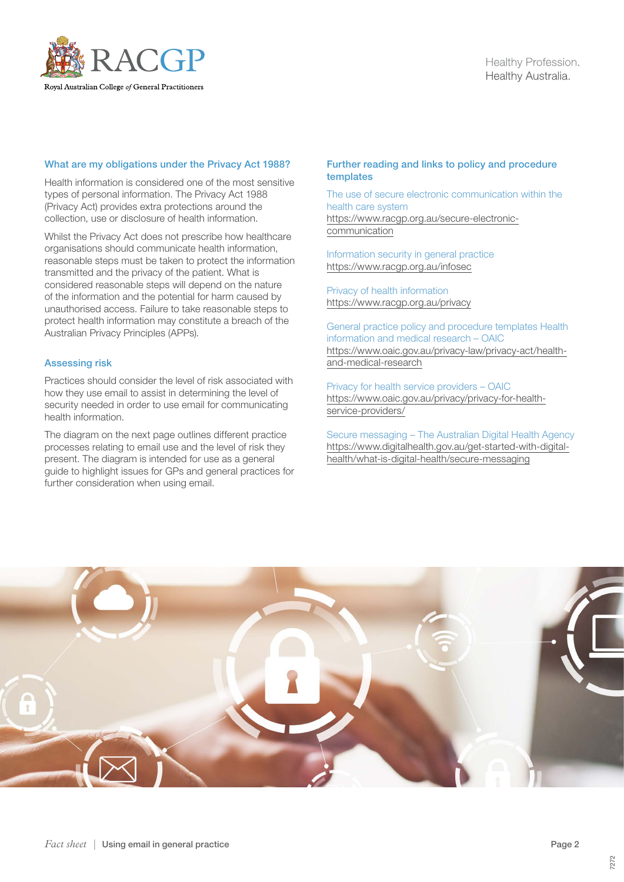

#### What are my obligations under the Privacy Act 1988?

Health information is considered one of the most sensitive types of personal information. The Privacy Act 1988 (Privacy Act) provides extra protections around the collection, use or disclosure of health information.

Whilst the Privacy Act does not prescribe how healthcare organisations should communicate health information, reasonable steps must be taken to protect the information transmitted and the privacy of the patient. What is considered reasonable steps will depend on the nature of the information and the potential for harm caused by unauthorised access. Failure to take reasonable steps to protect health information may constitute a breach of the Australian Privacy Principles (APPs).

#### Assessing risk

Practices should consider the level of risk associated with how they use email to assist in determining the level of security needed in order to use email for communicating health information.

The diagram on the next page outlines different practice processes relating to email use and the level of risk they present. The diagram is intended for use as a general guide to highlight issues for GPs and general practices for further consideration when using email.

#### Further reading and links to policy and procedure templates

The use of secure electronic communication within the health care system [https://www.racgp.org.au/secure-electronic](https://www.racgp.org.au/secure-electronic-communication)[communication](https://www.racgp.org.au/secure-electronic-communication)

Information security in general practice <https://www.racgp.org.au/infosec>

Privacy of health information <https://www.racgp.org.au/privacy>

General practice policy and procedure templates Health information and medical research – OAIC [https://www.oaic.gov.au/privacy-law/privacy-act/health](https://www.oaic.gov.au/privacy-law/privacy-act/health-and-medical-research)[and-medical-research](https://www.oaic.gov.au/privacy-law/privacy-act/health-and-medical-research)

Privacy for health service providers – OAIC [https://www.oaic.gov.au/privacy/privacy-for-health](https://www.oaic.gov.au/privacy/privacy-for-health-service-providers/)[service-providers/](https://www.oaic.gov.au/privacy/privacy-for-health-service-providers/)

Secure messaging – The Australian Digital Health Agency [https://www.digitalhealth.gov.au/get-started-with-digital](https://www.digitalhealth.gov.au/get-started-with-digital-health/what-is-digital-health/secure-messaging)[health/what-is-digital-health/secure-messaging](https://www.digitalhealth.gov.au/get-started-with-digital-health/what-is-digital-health/secure-messaging)